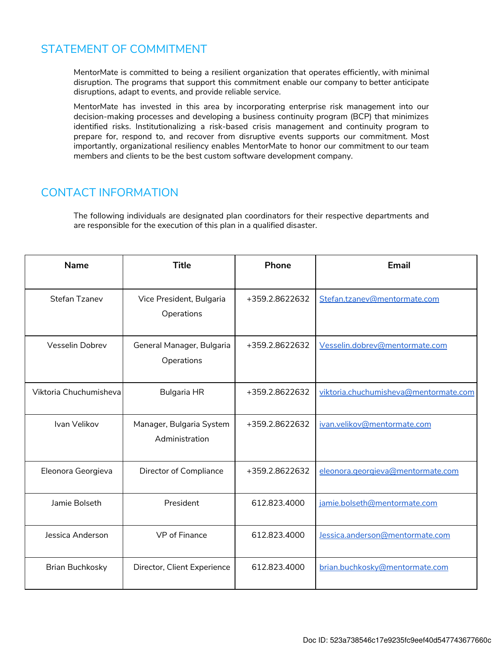## STATEMENT OF COMMITMENT

MentorMate is committed to being a resilient organization that operates efficiently, with minimal disruption. The programs that support this commitment enable our company to better anticipate disruptions, adapt to events, and provide reliable service.

MentorMate has invested in this area by incorporating enterprise risk management into our decision-making processes and developing a business continuity program (BCP) that minimizes identified risks. Institutionalizing a risk-based crisis management and continuity program to prepare for, respond to, and recover from disruptive events supports our commitment. Most importantly, organizational resiliency enables MentorMate to honor our commitment to our team members and clients to be the best custom software development company.

#### CONTACT INFORMATION

The following individuals are designated plan coordinators for their respective departments and are responsible for the execution of this plan in a qualified disaster.

| <b>Name</b>            | <b>Title</b>                               | <b>Phone</b>   | Email                                 |
|------------------------|--------------------------------------------|----------------|---------------------------------------|
| Stefan Tzanev          | Vice President, Bulgaria<br>Operations     | +359.2.8622632 | Stefan.tzanev@mentormate.com          |
| Vesselin Dobrev        | General Manager, Bulgaria<br>Operations    | +359.2.8622632 | Vesselin.dobrev@mentormate.com        |
| Viktoria Chuchumisheva | <b>Bulgaria HR</b>                         | +359.2.8622632 | viktoria.chuchumisheva@mentormate.com |
| Ivan Velikov           | Manager, Bulgaria System<br>Administration | +359.2.8622632 | ivan.velikov@mentormate.com           |
| Eleonora Georgieva     | Director of Compliance                     | +359.2.8622632 | eleonora.georgieva@mentormate.com     |
| Jamie Bolseth          | President                                  | 612.823.4000   | jamie.bolseth@mentormate.com          |
| Jessica Anderson       | <b>VP</b> of Finance                       | 612.823.4000   | Jessica.anderson@mentormate.com       |
| <b>Brian Buchkosky</b> | Director, Client Experience                | 612.823.4000   | brian.buchkosky@mentormate.com        |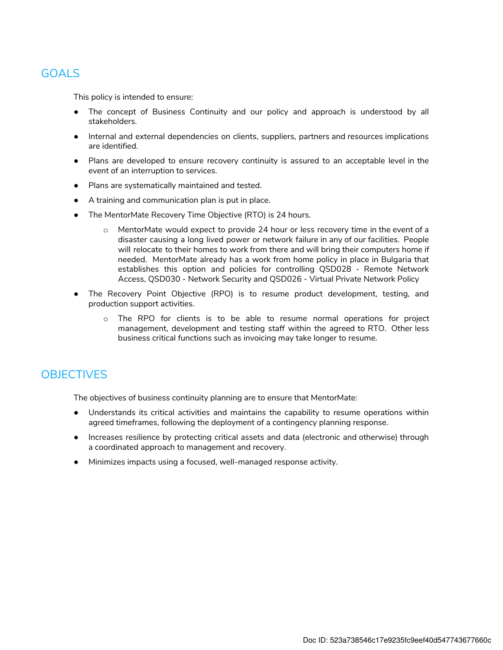### GOALS

This policy is intended to ensure:

- The concept of Business Continuity and our policy and approach is understood by all stakeholders.
- Internal and external dependencies on clients, suppliers, partners and resources implications are identified.
- Plans are developed to ensure recovery continuity is assured to an acceptable level in the event of an interruption to services.
- Plans are systematically maintained and tested.
- A training and communication plan is put in place.
- The MentorMate Recovery Time Objective (RTO) is 24 hours.
	- o MentorMate would expect to provide 24 hour or less recovery time in the event of a disaster causing a long lived power or network failure in any of our facilities. People will relocate to their homes to work from there and will bring their computers home if needed. MentorMate already has a work from home policy in place in Bulgaria that establishes this option and policies for controlling QSD028 - Remote Network Access, QSD030 - Network Security and QSD026 - Virtual Private Network Policy
- The Recovery Point Objective (RPO) is to resume product development, testing, and production support activities.
	- $\circ$  The RPO for clients is to be able to resume normal operations for project management, development and testing staff within the agreed to RTO. Other less business critical functions such as invoicing may take longer to resume.

## **OBJECTIVES**

The objectives of business continuity planning are to ensure that MentorMate:

- Understands its critical activities and maintains the capability to resume operations within agreed timeframes, following the deployment of a contingency planning response.
- Increases resilience by protecting critical assets and data (electronic and otherwise) through a coordinated approach to management and recovery.
- Minimizes impacts using a focused, well-managed response activity.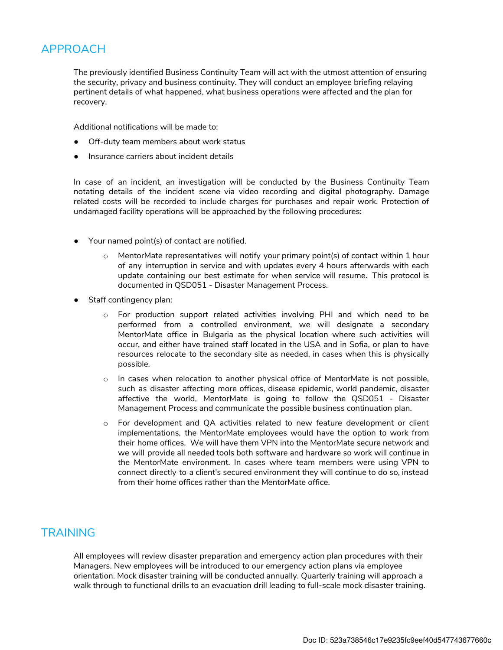# APPROACH

The previously identified Business Continuity Team will act with the utmost attention of ensuring the security, privacy and business continuity. They will conduct an employee briefing relaying pertinent details of what happened, what business operations were affected and the plan for recovery.

Additional notifications will be made to:

- Off-duty team members about work status
- Insurance carriers about incident details

In case of an incident, an investigation will be conducted by the Business Continuity Team notating details of the incident scene via video recording and digital photography. Damage related costs will be recorded to include charges for purchases and repair work. Protection of undamaged facility operations will be approached by the following procedures:

- Your named point(s) of contact are notified.
	- $\circ$  MentorMate representatives will notify your primary point(s) of contact within 1 hour of any interruption in service and with updates every 4 hours afterwards with each update containing our best estimate for when service will resume. This protocol is documented in QSD051 - Disaster Management Process.
- Staff contingency plan:
	- o For production support related activities involving PHI and which need to be performed from a controlled environment, we will designate a secondary MentorMate office in Bulgaria as the physical location where such activities will occur, and either have trained staff located in the USA and in Sofia, or plan to have resources relocate to the secondary site as needed, in cases when this is physically possible.
	- o In cases when relocation to another physical office of MentorMate is not possible, such as disaster affecting more offices, disease epidemic, world pandemic, disaster affective the world, MentorMate is going to follow the QSD051 - Disaster Management Process and communicate the possible business continuation plan.
	- o For development and QA activities related to new feature development or client implementations, the MentorMate employees would have the option to work from their home offices. We will have them VPN into the MentorMate secure network and we will provide all needed tools both software and hardware so work will continue in the MentorMate environment. In cases where team members were using VPN to connect directly to a client's secured environment they will continue to do so, instead from their home offices rather than the MentorMate office.

#### **TRAINING**

All employees will review disaster preparation and emergency action plan procedures with their Managers. New employees will be introduced to our emergency action plans via employee orientation. Mock disaster training will be conducted annually. Quarterly training will approach a walk through to functional drills to an evacuation drill leading to full-scale mock disaster training.